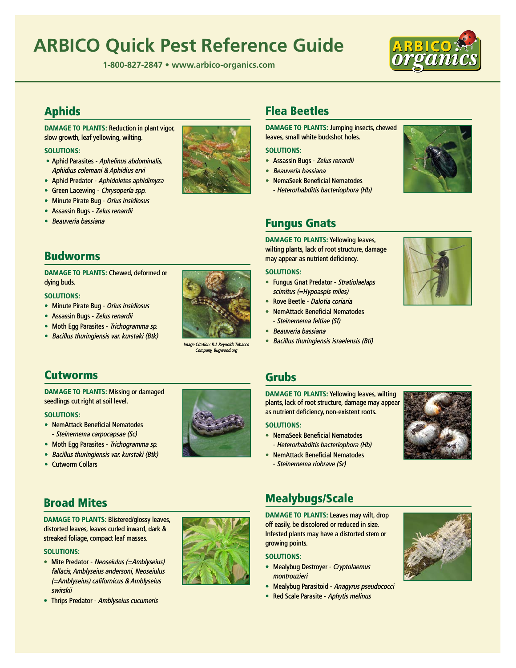# **[ARBICO Quick Pest Reference Guide](http://www.arbico-organics.com/category/problem-solver-guide)**

**1-800-827-2847 • www.arbico-organics.com**



# [Aphids](https://www.arbico-organics.com/category/aphid-control-prevention-ipm)

**DAMAGE TO PLANTS:** Reduction in plant vigor, slow growth, leaf yellowing, wilting.

### **SOLUTIONS:**

- Aphid Parasites [Aphelinus abdominalis,](https://www.arbico-organics.com/product/aphid-parasite-aphelinus-abdominalis/aphid-control-prevention-ipm) [Aphidius colemani](https://www.arbico-organics.com/product/aphid-parasite-aphidius-colemani/aphid-control-prevention-ipm) & [Aphidius ervi](https://www.arbico-organics.com/product/aphid-parasite-aphidius-ervi-mummies/aphid-control-prevention-ipm)
- Aphid Predator [Aphidoletes aphidimyza](https://www.arbico-organics.com/product/aphid-predators-aphidoletes-aphidimyza/aphid-control-prevention-ipm)
- [Green Lacewing](https://www.arbico-organics.com/category/Green-Lacewings-chrysoperla-beneficial-insects) Chrysoperla spp.
- [Minute Pirate Bug](https://www.arbico-organics.com/product/minute-pirate-bug-orius-insidiosus-predator/beneficial-insects-predators-parasites) Orius insidiosus
- [Assassin Bugs](https://www.arbico-organics.com/category/assassin-bugs-predators) Zelus renardii
- [Beauveria bassiana](https://www.arbico-organics.com/category/beauveria-bassiana-beneficial-fungal-insect-control)

## [Budworms](https://www.arbico-organics.com/category/budworm-control)

**DAMAGE TO PLANTS:** Chewed, deformed or dying buds.

### **SOLUTIONS:**

- [Minute Pirate Bug](https://www.arbico-organics.com/product/minute-pirate-bug-orius-insidiosus-predator/beneficial-insects-generalists) Orius insidiosus
- [Assassin Bugs](https://www.arbico-organics.com/category/assassin-bugs-predators) Zelus renardii
- [Moth Egg Parasites](https://www.arbico-organics.com/category/moth-egg-parasites) Trichogramma sp.
- Bacillus thuringiensis var. kurstaki (Btk)



# [Flea Beetles](https://www.arbico-organics.com/category/Flea-Beetle-Controls)

**DAMAGE TO PLANTS:** Jumping insects, chewed leaves, small white buckshot holes.

### **SOLUTIONS:**

- Assassin Bugs Zelus renardii
- Beauveria bassiana
- NemaSeek Beneficial Nematodes - Heterorhabditis bacteriophora (Hb)



# [Fungus Gnats](https://www.arbico-organics.com/category/pest-solver-guide-fungus-gnats)

**DAMAGE TO PLANTS:** Yellowing leaves, wilting plants, lack of root structure, damage may appear as nutrient deficiency.

### **SOLUTIONS:**

- Fungus Gnat Predator Stratiolaelaps scimitus (=Hypoaspis miles)
- Rove Beetle Dalotia coriaria
- NemAttack Beneficial Nematodes - Steinernema feltiae (Sf)
- Beauveria bassiana
- 



# [Cutworms](https://www.arbico-organics.com/category/Cutworms-Controls)

**DAMAGE TO PLANTS:** Missing or damaged seedlings cut right at soil level.

### **SOLUTIONS:**

- NemAttack Beneficial Nematodes - Steinernema carpocapsae (Sc)
- [Moth Egg Parasites](https://www.arbico-organics.com/category/moth-egg-parasites) Trichogramma sp.
- [Bacillus thuringiensis var. kurstaki \(Btk\)](https://www.arbico-organics.com/category/bacillus-thuringiensis-kurstaki-products)
- Cutworm Collars



### [Grubs](https://www.arbico-organics.com/category/pest-solver-guide-grubs-beetles)

**DAMAGE TO PLANTS:** Yellowing leaves, wilting plants, lack of root structure, damage may appear as nutrient deficiency, non-existent roots.

### **SOLUTIONS:**

- NemaSeek Beneficial Nematodes - Heterorhabditis bacteriophora (Hb)
- NemAttack Beneficial Nematodes - Steinernema riobrave (Sr)



# [Broad Mites](https://www.arbico-organics.com/category/cyclamen-broad-mites)

**DAMAGE TO PLANTS:** Blistered/glossy leaves, distorted leaves, leaves curled inward, dark & streaked foliage, compact leaf masses.

### **SOLUTIONS:**

- Mite Predator Neoseiulus (= Amblyseius) fallacis, Amblyseius andersoni, Neoseiulus (=Amblyseius) californicus & Amblyseius swirskii
- Thrips Predator Amblyseius cucumeris



# [Mealybugs/Scale](https://www.arbico-organics.com/category/pest-solver-guide-mealybugs)

**DAMAGE TO PLANTS:** Leaves may wilt, drop off easily, be discolored or reduced in size. Infested plants may have a distorted stem or growing points.

### **SOLUTIONS:**

- [Mealybug Destroyer](https://www.arbico-organics.com/product/mealybug-destroyer-cryptolaemus-montrouzieri-ladybug/pest-solver-guide-mealybugs) Cryptolaemus [montrouzieri](https://www.arbico-organics.com/product/mealybug-destroyer-cryptolaemus-montrouzieri-ladybug/pest-solver-guide-mealybugs)
- [Mealybug Parasitoid](https://www.arbico-organics.com/product/anagyrus-system-anagyrus-pseudococci/) Anagyrus pseudococci
- [Red Scale Parasite](https://www.arbico-organics.com/product/red-scale-parasite-aphytis-melinus-control-armored-scale/pest-solver-guide-scale) Aphytis melinus



m<mark>olds Tob</mark><br>റൻ.org Company, Bug

- -
	- Bacillus thuringiensis israelensis (Bti)